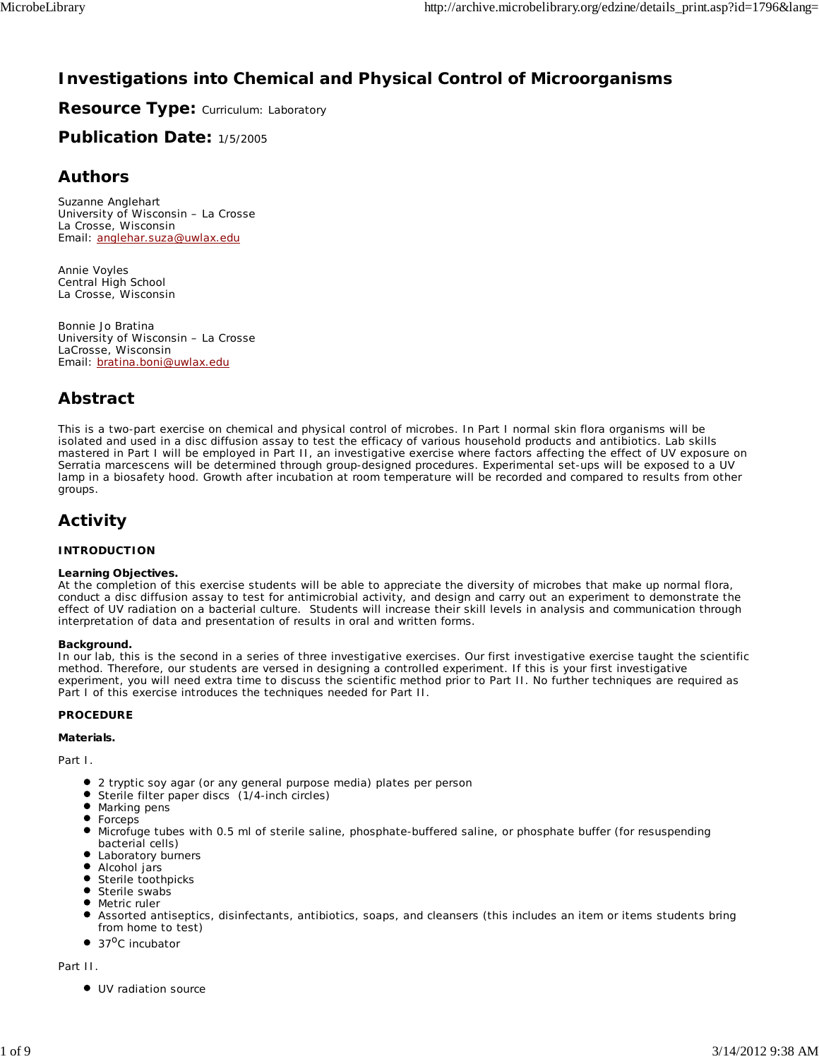# **Investigations into Chemical and Physical Control of Microorganisms**

**Resource Type: Curriculum: Laboratory** 

**Publication Date:** 1/5/2005

## **Authors**

*Suzanne Anglehart* University of Wisconsin – La Crosse La Crosse, Wisconsin Email: anglehar.suza@uwlax.edu

*Annie Voyles* Central High School La Crosse, Wisconsin

*Bonnie Jo Bratina* University of Wisconsin – La Crosse LaCrosse, Wisconsin Email: bratina.boni@uwlax.edu

## **Abstract**

This is a two-part exercise on chemical and physical control of microbes. In Part I normal skin flora organisms will be isolated and used in a disc diffusion assay to test the efficacy of various household products and antibiotics. Lab skills mastered in Part I will be employed in Part II, an investigative exercise where factors affecting the effect of UV exposure on *Serratia marcescens* will be determined through group-designed procedures. Experimental set-ups will be exposed to a UV lamp in a biosafety hood. Growth after incubation at room temperature will be recorded and compared to results from other groups.

# **Activity**

## **INTRODUCTION**

#### **Learning Objectives.**

At the completion of this exercise students will be able to appreciate the diversity of microbes that make up normal flora, conduct a disc diffusion assay to test for antimicrobial activity, and design and carry out an experiment to demonstrate the effect of UV radiation on a bacterial culture. Students will increase their skill levels in analysis and communication through interpretation of data and presentation of results in oral and written forms.

## **Background.**

In our lab, this is the second in a series of three investigative exercises. Our first investigative exercise taught the scientific method. Therefore, our students are versed in designing a controlled experiment. If this is your first investigative experiment, you will need extra time to discuss the scientific method prior to Part II. No further techniques are required as Part I of this exercise introduces the techniques needed for Part II.

## **PROCEDURE**

## **Materials.**

*Part I.*

- 2 tryptic soy agar (or any general purpose media) plates per person
- Sterile filter paper discs (1/4-inch circles)
- $\bullet$  Marking pens
- Forceps
- Microfuge tubes with 0.5 ml of sterile saline, phosphate-buffered saline, or phosphate buffer (for resuspending bacterial cells)
- Laboratory burners
- Alcohol jars
- **Sterile toothpicks**
- Sterile swabs Metric ruler
- Assorted antiseptics, disinfectants, antibiotics, soaps, and cleansers (this includes an item or items students bring from home to test)
- $\bullet$ 37<sup>o</sup>C incubator

*Part II.*

 $\bullet$  UV radiation source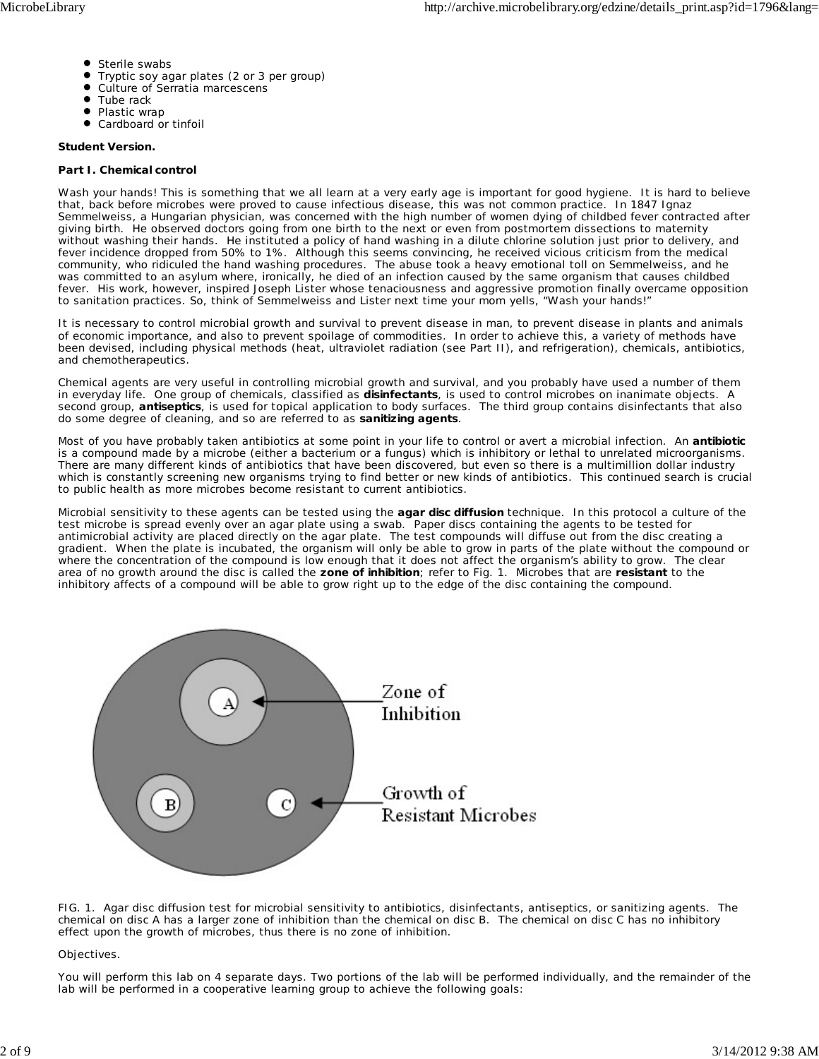- Sterile swabs
- Tryptic soy agar plates (2 or 3 per group)
- $\bullet$ Culture of *Serratia marcescens*
- $\bullet$ Tube rack
- $\bullet$ Plastic wrap
- Cardboard or tinfoil

#### **Student Version.**

#### **Part I. Chemical control**

Wash your hands! This is something that we all learn at a very early age is important for good hygiene. It is hard to believe that, back before microbes were proved to cause infectious disease, this was not common practice. In 1847 Ignaz Semmelweiss, a Hungarian physician, was concerned with the high number of women dying of childbed fever contracted after giving birth. He observed doctors going from one birth to the next or even from postmortem dissections to maternity without washing their hands. He instituted a policy of hand washing in a dilute chlorine solution just prior to delivery, and fever incidence dropped from 50% to 1%. Although this seems convincing, he received vicious criticism from the medical community, who ridiculed the hand washing procedures. The abuse took a heavy emotional toll on Semmelweiss, and he was committed to an asylum where, ironically, he died of an infection caused by the same organism that causes childbed fever. His work, however, inspired Joseph Lister whose tenaciousness and aggressive promotion finally overcame opposition to sanitation practices. So, think of Semmelweiss and Lister next time your mom yells, "Wash your hands!"

It is necessary to control microbial growth and survival to prevent disease in man, to prevent disease in plants and animals of economic importance, and also to prevent spoilage of commodities. In order to achieve this, a variety of methods have been devised, including physical methods (heat, ultraviolet radiation (see Part II), and refrigeration), chemicals, antibiotics, and chemotherapeutics.

Chemical agents are very useful in controlling microbial growth and survival, and you probably have used a number of them in everyday life. One group of chemicals, classified as **disinfectants**, is used to control microbes on inanimate objects. A second group, **antiseptics**, is used for topical application to body surfaces. The third group contains disinfectants that also do some degree of cleaning, and so are referred to as **sanitizing agents**.

Most of you have probably taken antibiotics at some point in your life to control or avert a microbial infection. An **antibiotic** is a compound made by a microbe (either a bacterium or a fungus) which is inhibitory or lethal to unrelated microorganisms. There are many different kinds of antibiotics that have been discovered, but even so there is a multimillion dollar industry which is constantly screening new organisms trying to find better or new kinds of antibiotics. This continued search is crucial to public health as more microbes become resistant to current antibiotics.

Microbial sensitivity to these agents can be tested using the **agar disc diffusion** technique. In this protocol a culture of the test microbe is spread evenly over an agar plate using a swab. Paper discs containing the agents to be tested for antimicrobial activity are placed directly on the agar plate. The test compounds will diffuse out from the disc creating a gradient. When the plate is incubated, the organism will only be able to grow in parts of the plate without the compound or where the concentration of the compound is low enough that it does not affect the organism's ability to grow. The clear area of no growth around the disc is called the **zone of inhibition**; refer to Fig. 1. Microbes that are **resistant** to the inhibitory affects of a compound will be able to grow right up to the edge of the disc containing the compound.



FIG. 1. Agar disc diffusion test for microbial sensitivity to antibiotics, disinfectants, antiseptics, or sanitizing agents. The chemical on disc A has a larger zone of inhibition than the chemical on disc B. The chemical on disc C has no inhibitory effect upon the growth of microbes, thus there is no zone of inhibition.

#### *Objectives.*

You will perform this lab on 4 separate days. Two portions of the lab will be performed individually, and the remainder of the lab will be performed in a cooperative learning group to achieve the following goals: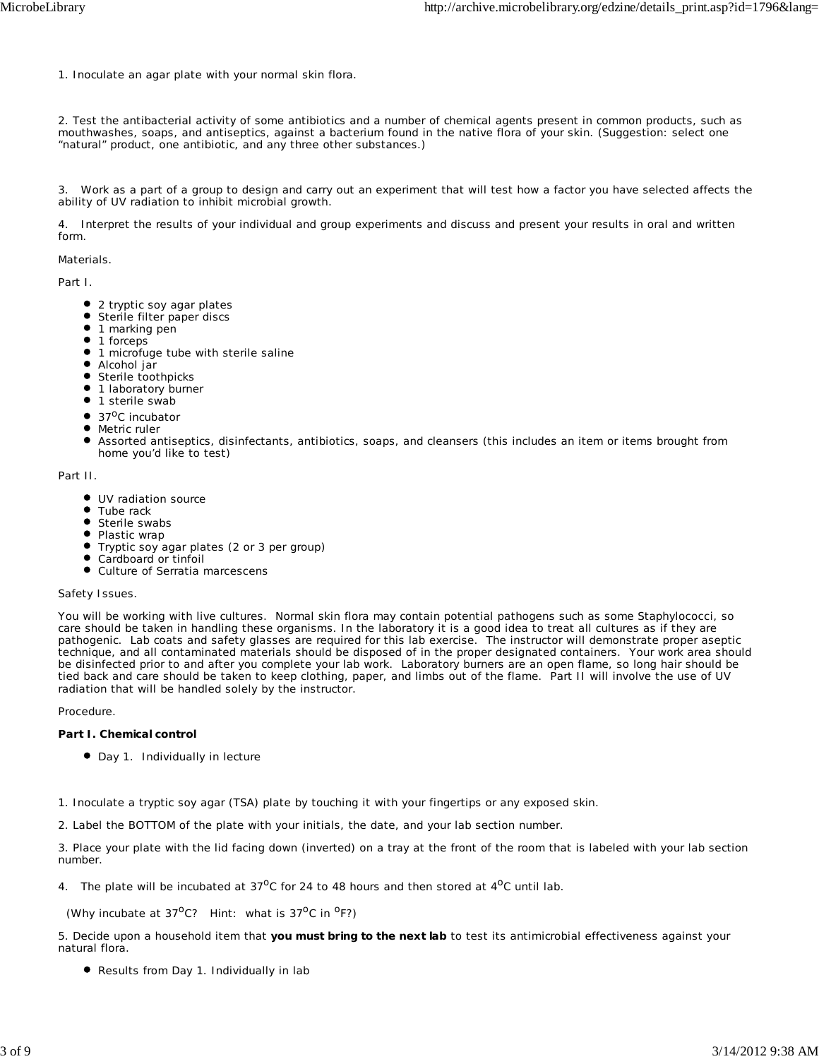1. Inoculate an agar plate with your normal skin flora.

2. Test the antibacterial activity of some antibiotics and a number of chemical agents present in common products, such as mouthwashes, soaps, and antiseptics, against a bacterium found in the native flora of your skin. (Suggestion: select one "natural" product, one antibiotic, and any three other substances.)

3. Work as a part of a group to design and carry out an experiment that will test how a factor you have selected affects the ability of UV radiation to inhibit microbial growth.

4. Interpret the results of your individual and group experiments and discuss and present your results in oral and written form.

#### *Materials.*

Part I.

- 2 tryptic soy agar plates
- Sterile filter paper discs
- $\bullet$  1 marking pen
- $1$  forceps
- $\bullet$  1 microfuge tube with sterile saline
- Alcohol jar
- Sterile toothpicks
- **1** 1 laboratory burner
- $\bullet$  1 sterile swab
- $\bullet$  37<sup>o</sup>C incubator
- Metric ruler
- Assorted antiseptics, disinfectants, antibiotics, soaps, and cleansers (this includes an item or items brought from home you'd like to test)

Part II.

- $\bullet$  UV radiation source
- Tube rack
- Sterile swabs
- Plastic wrap
- Tryptic soy agar plates (2 or 3 per group)
- Cardboard or tinfoil
- Culture of *Serratia marcescens*

#### *Safety Issues.*

You will be working with live cultures. Normal skin flora may contain potential pathogens such as some *Staphylococci*, so care should be taken in handling these organisms. In the laboratory it is a good idea to treat all cultures as if they are pathogenic. Lab coats and safety glasses are required for this lab exercise. The instructor will demonstrate proper aseptic technique, and all contaminated materials should be disposed of in the proper designated containers. Your work area should be disinfected prior to and after you complete your lab work. Laboratory burners are an open flame, so long hair should be tied back and care should be taken to keep clothing, paper, and limbs out of the flame. Part II will involve the use of UV radiation that will be handled solely by the instructor.

*Procedure.*

#### **Part I. Chemical control**

● Day 1. Individually in lecture

1. Inoculate a tryptic soy agar (TSA) plate by touching it with your fingertips or any exposed skin.

2. Label the BOTTOM of the plate with your initials, the date, and your lab section number.

3. Place your plate with the lid facing down (inverted) on a tray at the front of the room that is labeled with your lab section number.

4. The plate will be incubated at  $37^{\circ}$ C for 24 to 48 hours and then stored at  $4^{\circ}$ C until lab.

(Why incubate at  $37^{\circ}$ C? Hint: what is  $37^{\circ}$ C in  $^{\circ}$ F?)

5. Decide upon a household item that *you must bring to the next lab* to test its antimicrobial effectiveness against your natural flora.

Results from Day 1. Individually in lab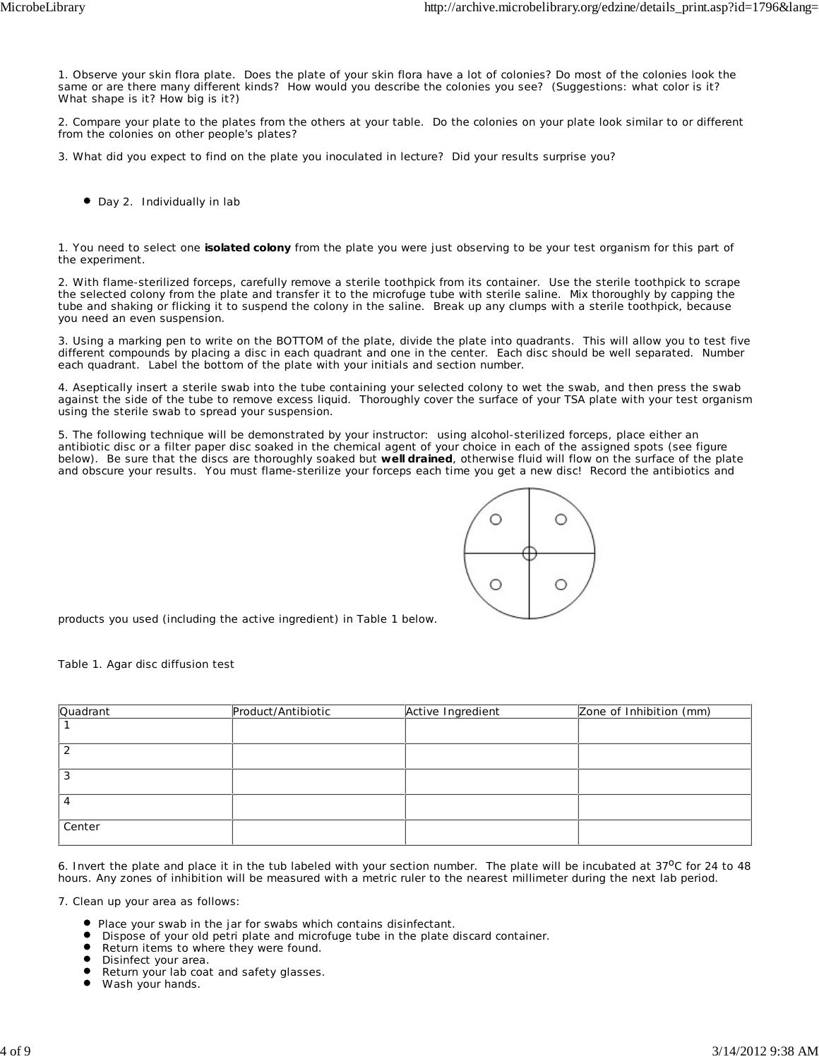1. Observe your skin flora plate. Does the plate of your skin flora have a lot of colonies? Do most of the colonies look the same or are there many different kinds? How would you describe the colonies you see? (Suggestions: what color is it? What shape is it? How big is it?)

2. Compare your plate to the plates from the others at your table. Do the colonies on your plate look similar to or different from the colonies on other people's plates?

3. What did you expect to find on the plate you inoculated in lecture? Did your results surprise you?

● Day 2. Individually in lab

1. You need to select one **isolated colony** from the plate you were just observing to be your test organism for this part of the experiment.

2. With flame-sterilized forceps, carefully remove a sterile toothpick from its container. Use the sterile toothpick to scrape the selected colony from the plate and transfer it to the microfuge tube with sterile saline. Mix thoroughly by capping the tube and shaking or flicking it to suspend the colony in the saline. Break up any clumps with a sterile toothpick, because you need an even suspension.

3. Using a marking pen to write on the BOTTOM of the plate, divide the plate into quadrants. This will allow you to test five different compounds by placing a disc in each quadrant and one in the center. Each disc should be well separated. Number each quadrant. Label the bottom of the plate with your initials and section number.

4. Aseptically insert a sterile swab into the tube containing your selected colony to wet the swab, and then press the swab against the side of the tube to remove excess liquid. Thoroughly cover the surface of your TSA plate with your test organism using the sterile swab to spread your suspension.

5. The following technique will be demonstrated by your instructor: using alcohol-sterilized forceps, place either an antibiotic disc or a filter paper disc soaked in the chemical agent of your choice in each of the assigned spots (see figure below). Be sure that the discs are thoroughly soaked but **well drained**, otherwise fluid will flow on the surface of the plate and obscure your results. You must flame-sterilize your forceps each time you get a new disc! Record the antibiotics and



products you used (including the active ingredient) in Table 1 below.

Table 1. Agar disc diffusion test

| Quadrant | Product/Antibiotic | Active Ingredient | Zone of Inhibition (mm) |
|----------|--------------------|-------------------|-------------------------|
|          |                    |                   |                         |
|          |                    |                   |                         |
| 3        |                    |                   |                         |
|          |                    |                   |                         |
| Center   |                    |                   |                         |

6. Invert the plate and place it in the tub labeled with your section number. The plate will be incubated at  $37^{\circ}$ C for 24 to 48 hours. Any zones of inhibition will be measured with a metric ruler to the nearest millimeter during the next lab period.

7. Clean up your area as follows:

- Place your swab in the jar for swabs which contains disinfectant.
- Dispose of your old petri plate and microfuge tube in the plate discard container.

 $\bullet$ Return items to where they were found.

 $\bullet$ Disinfect your area.

Return your lab coat and safety glasses.

 $\bullet$ Wash your hands.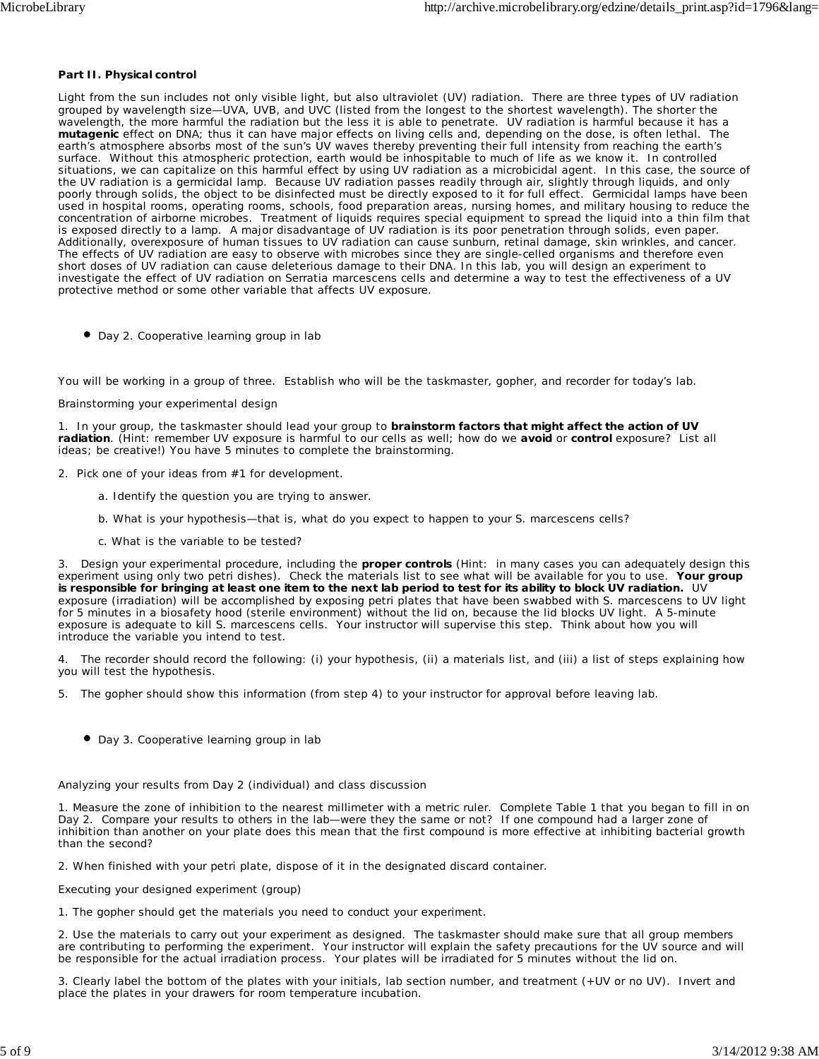#### **Part II. Physical control**

Light from the sun includes not only visible light, but also ultraviolet (UV) radiation. There are three types of UV radiation grouped by wavelength size—UVA, UVB, and UVC (listed from the longest to the shortest wavelength). The shorter the wavelength, the more harmful the radiation but the less it is able to penetrate. UV radiation is harmful because it has a **mutagenic** effect on DNA; thus it can have major effects on living cells and, depending on the dose, is often lethal. The earth's atmosphere absorbs most of the sun's UV waves thereby preventing their full intensity from reaching the earth's surface. Without this atmospheric protection, earth would be inhospitable to much of life as we know it. In controlled situations, we can capitalize on this harmful effect by using UV radiation as a microbicidal agent. In this case, the source of the UV radiation is a germicidal lamp. Because UV radiation passes readily through air, slightly through liquids, and only poorly through solids, the object to be disinfected must be directly exposed to it for full effect. Germicidal lamps have been used in hospital rooms, operating rooms, schools, food preparation areas, nursing homes, and military housing to reduce the concentration of airborne microbes. Treatment of liquids requires special equipment to spread the liquid into a thin film that is exposed directly to a lamp. A major disadvantage of UV radiation is its poor penetration through solids, even paper. Additionally, overexposure of human tissues to UV radiation can cause sunburn, retinal damage, skin wrinkles, and cancer. The effects of UV radiation are easy to observe with microbes since they are single-celled organisms and therefore even short doses of UV radiation can cause deleterious damage to their DNA. In this lab, you will design an experiment to investigate the effect of UV radiation on *Serratia marcescens* cells and determine a way to test the effectiveness of a UV protective method or some other variable that affects UV exposure.

Day 2. Cooperative learning group in lab

You will be working in a group of three. Establish who will be the taskmaster, gopher, and recorder for today's lab.

#### Brainstorming your experimental design

1. In your group, the taskmaster should lead your group to **brainstorm factors that might affect the action of UV radiation**. (Hint: remember UV exposure is harmful to our cells as well; how do we **avoid** or **control** exposure? List all ideas; be creative!) You have 5 minutes to complete the brainstorming.

- 2. Pick one of your ideas from #1 for development.
	- a. Identify the question you are trying to answer.
	- b. What is your hypothesis—that is, what do you expect to happen to your *S. marcescens* cells?
	- c. What is the variable to be tested?

3. Design your experimental procedure, including the **proper controls** (Hint: in many cases you can adequately design this experiment using only two petri dishes). Check the materials list to see what will be available for you to use. **Your group is responsible for bringing at least one item to the next lab period to test for its ability to block UV radiation.** UV exposure (irradiation) will be accomplished by exposing petri plates that have been swabbed with *S. marcescens* to UV light for 5 minutes in a biosafety hood (sterile environment) without the lid on, because the lid blocks UV light. A 5-minute exposure is adequate to kill *S. marcescens* cells. Your instructor will supervise this step. Think about how you will introduce the variable you intend to test.

4. The recorder should record the following: (i) your hypothesis, (ii) a materials list, and (iii) a list of steps explaining how you will test the hypothesis.

- 5. The gopher should show this information (from step 4) to your instructor for approval before leaving lab.
	- Day 3. Cooperative learning group in lab

#### Analyzing your results from Day 2 (individual) and class discussion

1. Measure the zone of inhibition to the nearest millimeter with a metric ruler. Complete Table 1 that you began to fill in on Day 2. Compare your results to others in the lab—were they the same or not? If one compound had a larger zone of inhibition than another on your plate does this mean that the first compound is more effective at inhibiting bacterial growth than the second?

2. When finished with your petri plate, dispose of it in the designated discard container.

Executing your designed experiment (group)

1. The gopher should get the materials you need to conduct your experiment.

2. Use the materials to carry out your experiment as designed. The taskmaster should make sure that all group members are contributing to performing the experiment. Your instructor will explain the safety precautions for the UV source and will be responsible for the actual irradiation process. Your plates will be irradiated for 5 minutes without the lid on.

3. Clearly label the bottom of the plates with your initials, lab section number, and treatment (+UV or no UV). Invert and place the plates in your drawers for room temperature incubation.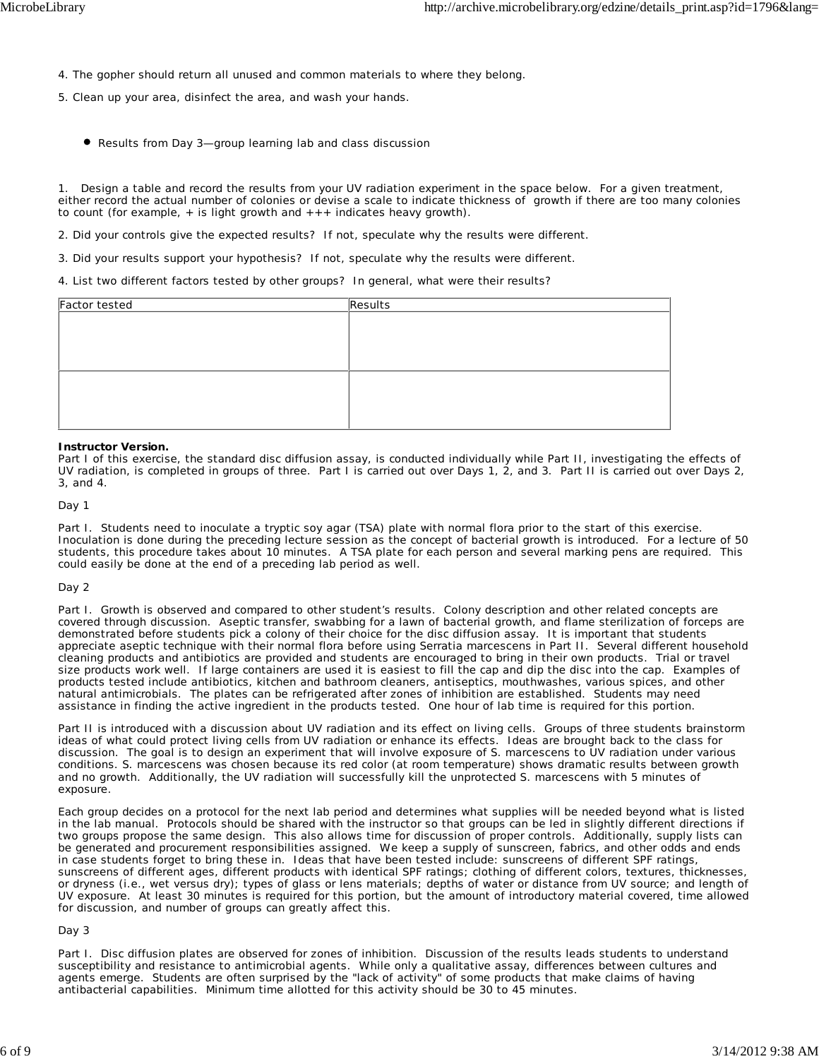- 4. The gopher should return all unused and common materials to where they belong.
- 5. Clean up your area, disinfect the area, and wash your hands.
	- Results from Day 3—group learning lab and class discussion

1. Design a table and record the results from your UV radiation experiment in the space below. For a given treatment, either record the actual number of colonies or devise a scale to indicate thickness of growth if there are too many colonies to count (for example,  $+$  is light growth and  $+++$  indicates heavy growth).

- 2. Did your controls give the expected results? If not, speculate why the results were different.
- 3. Did your results support your hypothesis? If not, speculate why the results were different.

4. List two different factors tested by other groups? In general, what were their results?

| Factor tested | Results |
|---------------|---------|
|               |         |
|               |         |
|               |         |
|               |         |
|               |         |
|               |         |
|               |         |
|               |         |

#### **Instructor Version.**

Part I of this exercise, the standard disc diffusion assay, is conducted individually while Part II, investigating the effects of UV radiation, is completed in groups of three. Part I is carried out over Days 1, 2, and 3. Part II is carried out over Days 2, 3, and 4.

*Day 1*

Part I. Students need to inoculate a tryptic soy agar (TSA) plate with normal flora prior to the start of this exercise. Inoculation is done during the preceding lecture session as the concept of bacterial growth is introduced. For a lecture of 50 students, this procedure takes about 10 minutes. A TSA plate for each person and several marking pens are required. This could easily be done at the end of a preceding lab period as well.

#### *Day 2*

Part I. Growth is observed and compared to other student's results. Colony description and other related concepts are covered through discussion. Aseptic transfer, swabbing for a lawn of bacterial growth, and flame sterilization of forceps are demonstrated before students pick a colony of their choice for the disc diffusion assay. It is important that students appreciate aseptic technique with their normal flora before using *Serratia marcescens* in Part II. Several different household cleaning products and antibiotics are provided and students are encouraged to bring in their own products. Trial or travel size products work well. If large containers are used it is easiest to fill the cap and dip the disc into the cap. Examples of products tested include antibiotics, kitchen and bathroom cleaners, antiseptics, mouthwashes, various spices, and other natural antimicrobials. The plates can be refrigerated after zones of inhibition are established. Students may need assistance in finding the active ingredient in the products tested. One hour of lab time is required for this portion.

Part II is introduced with a discussion about UV radiation and its effect on living cells. Groups of three students brainstorm ideas of what could protect living cells from UV radiation or enhance its effects. Ideas are brought back to the class for discussion. The goal is to design an experiment that will involve exposure of *S. marcescens* to UV radiation under various conditions. *S. marcescens* was chosen because its red color (at room temperature) shows dramatic results between growth and no growth. Additionally, the UV radiation will successfully kill the unprotected *S. marcescens* with 5 minutes of exposure.

Each group decides on a protocol for the next lab period and determines what supplies will be needed beyond what is listed in the lab manual. Protocols should be shared with the instructor so that groups can be led in slightly different directions if two groups propose the same design. This also allows time for discussion of proper controls. Additionally, supply lists can be generated and procurement responsibilities assigned. We keep a supply of sunscreen, fabrics, and other odds and ends in case students forget to bring these in. Ideas that have been tested include: sunscreens of different SPF ratings, sunscreens of different ages, different products with identical SPF ratings; clothing of different colors, textures, thicknesses, or dryness (i.e., wet versus dry); types of glass or lens materials; depths of water or distance from UV source; and length of UV exposure. At least 30 minutes is required for this portion, but the amount of introductory material covered, time allowed for discussion, and number of groups can greatly affect this.

#### *Day 3*

Part I. Disc diffusion plates are observed for zones of inhibition. Discussion of the results leads students to understand susceptibility and resistance to antimicrobial agents. While only a qualitative assay, differences between cultures and agents emerge. Students are often surprised by the "lack of activity" of some products that make claims of having antibacterial capabilities. Minimum time allotted for this activity should be 30 to 45 minutes.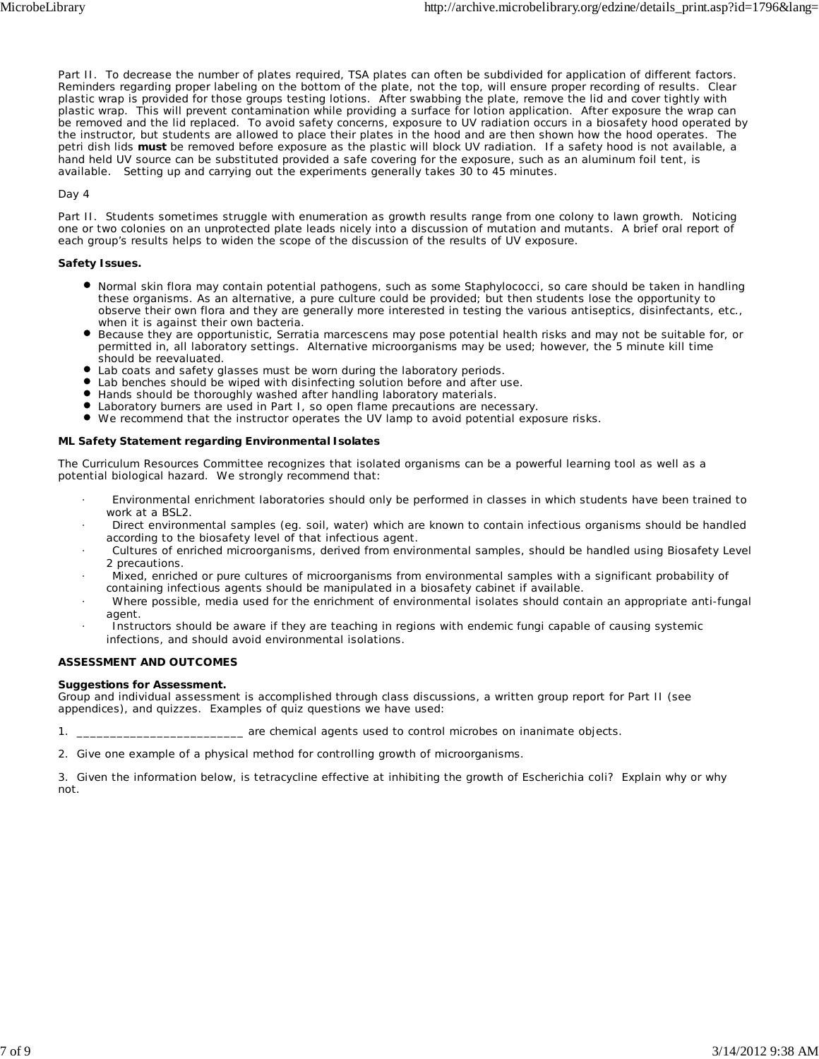Part II. To decrease the number of plates required, TSA plates can often be subdivided for application of different factors. Reminders regarding proper labeling on the bottom of the plate, not the top, will ensure proper recording of results. Clear plastic wrap is provided for those groups testing lotions. After swabbing the plate, remove the lid and cover tightly with plastic wrap. This will prevent contamination while providing a surface for lotion application. After exposure the wrap can be removed and the lid replaced. To avoid safety concerns, exposure to UV radiation occurs in a biosafety hood operated by the instructor, but students are allowed to place their plates in the hood and are then shown how the hood operates. The petri dish lids **must** be removed before exposure as the plastic will block UV radiation. If a safety hood is not available, a hand held UV source can be substituted provided a safe covering for the exposure, such as an aluminum foil tent, is available. Setting up and carrying out the experiments generally takes 30 to 45 minutes.

*Day 4*

Part II. Students sometimes struggle with enumeration as growth results range from one colony to lawn growth. Noticing one or two colonies on an unprotected plate leads nicely into a discussion of mutation and mutants. A brief oral report of each group's results helps to widen the scope of the discussion of the results of UV exposure.

#### **Safety Issues.**

- Normal skin flora may contain potential pathogens, such as some *Staphylococci*, so care should be taken in handling these organisms. As an alternative, a pure culture could be provided; but then students lose the opportunity to observe their own flora and they are generally more interested in testing the various antiseptics, disinfectants, etc., when it is against their own bacteria.
- Because they are opportunistic, *Serratia marcescens* may pose potential health risks and may not be suitable for, or permitted in, all laboratory settings. Alternative microorganisms may be used; however, the 5 minute kill time should be reevaluated.
- Lab coats and safety glasses must be worn during the laboratory periods.
- Lab benches should be wiped with disinfecting solution before and after use.
- Hands should be thoroughly washed after handling laboratory materials.
- Laboratory burners are used in Part I, so open flame precautions are necessary.
- We recommend that the instructor operates the UV lamp to avoid potential exposure risks.

#### **ML Safety Statement regarding Environmental Isolates**

The Curriculum Resources Committee recognizes that isolated organisms can be a powerful learning tool as well as a potential biological hazard. We strongly recommend that:

- · Environmental enrichment laboratories should only be performed in classes in which students have been trained to work at a BSL2.
- · Direct environmental samples (eg. soil, water) which are known to contain infectious organisms should be handled according to the biosafety level of that infectious agent.
- · Cultures of enriched microorganisms, derived from environmental samples, should be handled using Biosafety Level 2 precautions.
- · Mixed, enriched or pure cultures of microorganisms from environmental samples with a significant probability of containing infectious agents should be manipulated in a biosafety cabinet if available.
- · Where possible, media used for the enrichment of environmental isolates should contain an appropriate anti-fungal agent.
- Instructors should be aware if they are teaching in regions with endemic fungi capable of causing systemic infections, and should avoid environmental isolations.

#### **ASSESSMENT AND OUTCOMES**

#### **Suggestions for Assessment.**

Group and individual assessment is accomplished through class discussions, a written group report for Part II (see appendices), and quizzes. Examples of quiz questions we have used:

1. \_\_\_\_\_\_\_\_\_\_\_\_\_\_\_\_\_\_\_\_\_\_\_\_\_\_\_\_\_\_\_\_ are chemical agents used to control microbes on inanimate objects.

2. Give one example of a physical method for controlling growth of microorganisms.

3. Given the information below, is tetracycline effective at inhibiting the growth of *Escherichia coli*? Explain why or why not.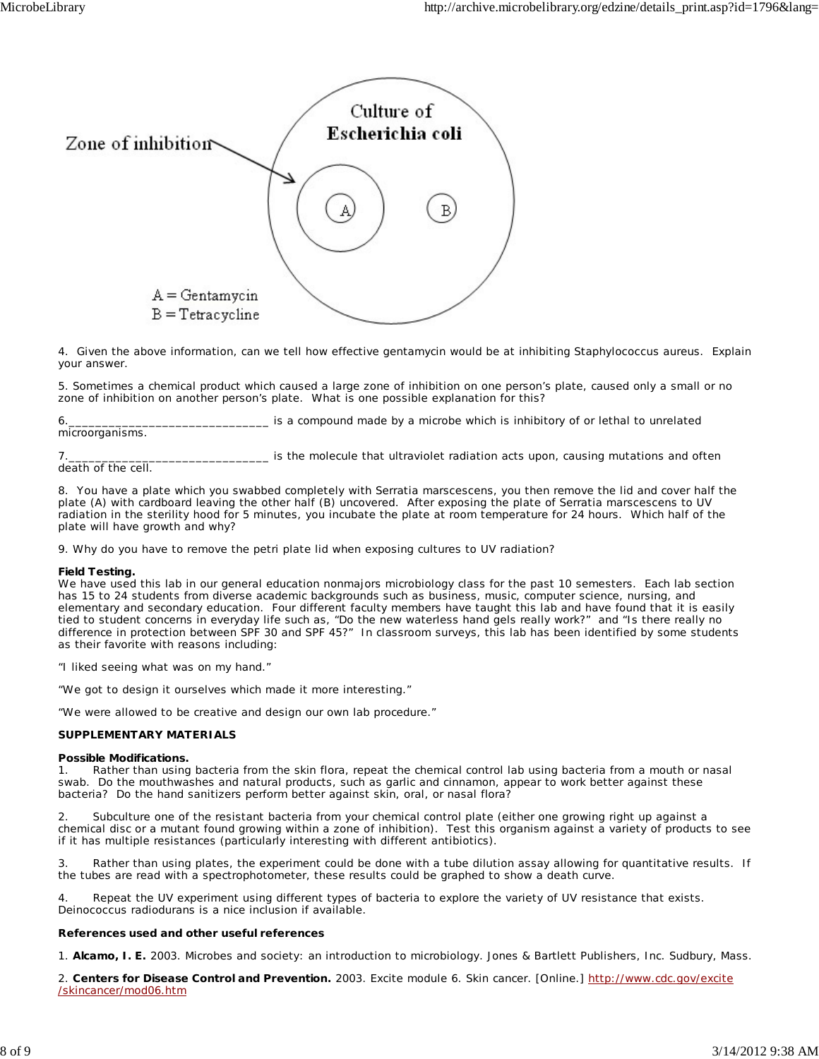

4. Given the above information, can we tell how effective gentamycin would be at inhibiting *Staphylococcus aureus*. Explain your answer.

5. Sometimes a chemical product which caused a large zone of inhibition on one person's plate, caused only a small or no zone of inhibition on another person's plate. What is one possible explanation for this?

6.\_\_\_\_\_\_\_\_\_\_\_\_\_\_\_\_\_\_\_\_\_\_\_\_\_\_\_\_\_\_ is a compound made by a microbe which is inhibitory of or lethal to unrelated

microorganisms.

7.\_\_\_\_\_\_\_\_\_\_\_\_\_\_\_\_\_\_\_\_\_\_\_\_\_\_\_\_\_\_ is the molecule that ultraviolet radiation acts upon, causing mutations and often

death of the cell.

8. You have a plate which you swabbed completely with *Serratia marscescens*, you then remove the lid and cover half the plate (A) with cardboard leaving the other half (B) uncovered. After exposing the plate of *Serratia marscescens* to UV radiation in the sterility hood for 5 minutes, you incubate the plate at room temperature for 24 hours. Which half of the plate will have growth and why?

9. Why do you have to remove the petri plate lid when exposing cultures to UV radiation?

#### **Field Testing.**

We have used this lab in our general education nonmajors microbiology class for the past 10 semesters. Each lab section has 15 to 24 students from diverse academic backgrounds such as business, music, computer science, nursing, and elementary and secondary education. Four different faculty members have taught this lab and have found that it is easily tied to student concerns in everyday life such as, "Do the new waterless hand gels really work?" and "Is there really no difference in protection between SPF 30 and SPF 45?" In classroom surveys, this lab has been identified by some students as their favorite with reasons including:

"I liked seeing what was on my hand."

"We got to design it ourselves which made it more interesting."

"We were allowed to be creative and design our own lab procedure."

#### **SUPPLEMENTARY MATERIALS**

#### **Possible Modifications.**

1. Rather than using bacteria from the skin flora, repeat the chemical control lab using bacteria from a mouth or nasal swab. Do the mouthwashes and natural products, such as garlic and cinnamon, appear to work better against these bacteria? Do the hand sanitizers perform better against skin, oral, or nasal flora?

2. Subculture one of the resistant bacteria from your chemical control plate (either one growing right up against a chemical disc or a mutant found growing within a zone of inhibition). Test this organism against a variety of products to see if it has multiple resistances (particularly interesting with different antibiotics).

3. Rather than using plates, the experiment could be done with a tube dilution assay allowing for quantitative results. If the tubes are read with a spectrophotometer, these results could be graphed to show a death curve.

Repeat the UV experiment using different types of bacteria to explore the variety of UV resistance that exists. *Deinococcus radiodurans* is a nice inclusion if available.

#### **References used and other useful references**

1. **Alcamo, I. E.** 2003. Microbes and society: an introduction to microbiology. Jones & Bartlett Publishers, Inc. Sudbury, Mass.

2. **Centers for Disease Control and Prevention.** 2003. Excite module 6. Skin cancer. [Online.] http://www.cdc.gov/excite /skincancer/mod06.htm